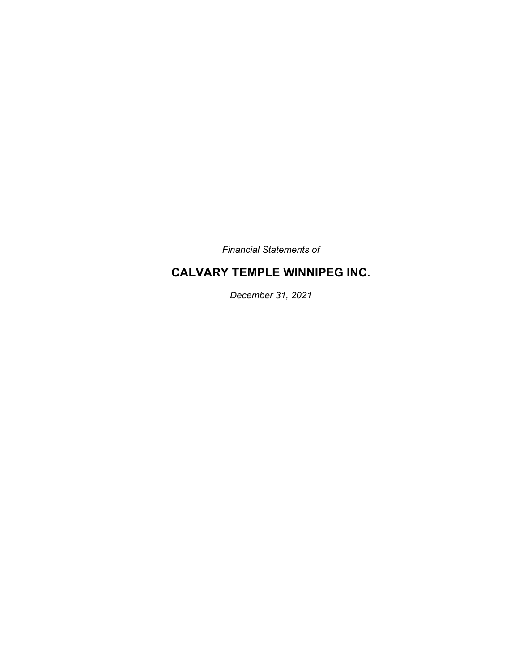*Financial Statements of* 

## **CALVARY TEMPLE WINNIPEG INC.**

*December 31, 2021*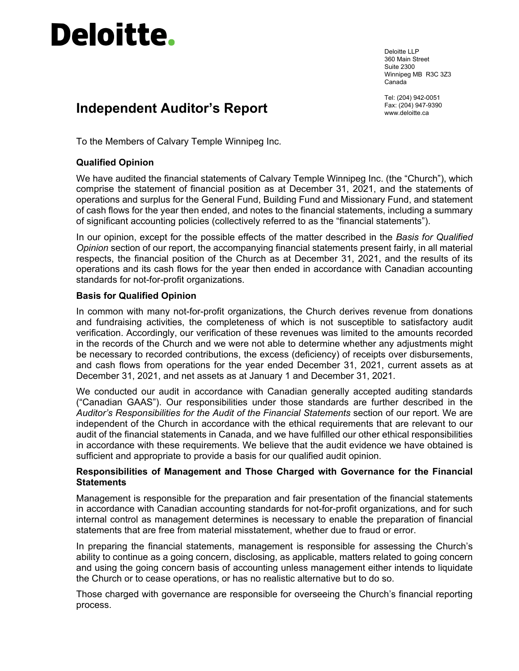# **Deloitte.**

Deloitte LLP 360 Main Street Suite 2300 Winnipeg MB R3C 3Z3 Canada

Tel: (204) 942-0051 Fax: (204) 947-9390

## **Independent Auditor's Report** Fax: (204) 947-6<br>
www.deloitte.ca

To the Members of Calvary Temple Winnipeg Inc.

#### **Qualified Opinion**

We have audited the financial statements of Calvary Temple Winnipeg Inc. (the "Church"), which comprise the statement of financial position as at December 31, 2021, and the statements of operations and surplus for the General Fund, Building Fund and Missionary Fund, and statement of cash flows for the year then ended, and notes to the financial statements, including a summary of significant accounting policies (collectively referred to as the "financial statements").

In our opinion, except for the possible effects of the matter described in the *Basis for Qualified Opinion* section of our report, the accompanying financial statements present fairly, in all material respects, the financial position of the Church as at December 31, 2021, and the results of its operations and its cash flows for the year then ended in accordance with Canadian accounting standards for not-for-profit organizations.

#### **Basis for Qualified Opinion**

In common with many not-for-profit organizations, the Church derives revenue from donations and fundraising activities, the completeness of which is not susceptible to satisfactory audit verification. Accordingly, our verification of these revenues was limited to the amounts recorded in the records of the Church and we were not able to determine whether any adjustments might be necessary to recorded contributions, the excess (deficiency) of receipts over disbursements, and cash flows from operations for the year ended December 31, 2021, current assets as at December 31, 2021, and net assets as at January 1 and December 31, 2021.

We conducted our audit in accordance with Canadian generally accepted auditing standards ("Canadian GAAS"). Our responsibilities under those standards are further described in the *Auditor's Responsibilities for the Audit of the Financial Statements* section of our report. We are independent of the Church in accordance with the ethical requirements that are relevant to our audit of the financial statements in Canada, and we have fulfilled our other ethical responsibilities in accordance with these requirements. We believe that the audit evidence we have obtained is sufficient and appropriate to provide a basis for our qualified audit opinion.

#### **Responsibilities of Management and Those Charged with Governance for the Financial Statements**

Management is responsible for the preparation and fair presentation of the financial statements in accordance with Canadian accounting standards for not-for-profit organizations, and for such internal control as management determines is necessary to enable the preparation of financial statements that are free from material misstatement, whether due to fraud or error.

In preparing the financial statements, management is responsible for assessing the Church's ability to continue as a going concern, disclosing, as applicable, matters related to going concern and using the going concern basis of accounting unless management either intends to liquidate the Church or to cease operations, or has no realistic alternative but to do so.

Those charged with governance are responsible for overseeing the Church's financial reporting process.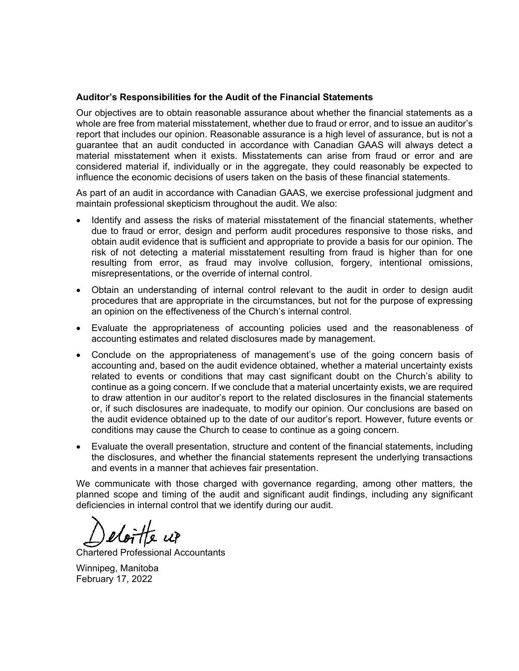#### **Auditor's Responsibilities for the Audit of the Financial Statements**

Our objectives are to obtain reasonable assurance about whether the financial statements as a whole are free from material misstatement, whether due to fraud or error, and to issue an auditor's report that includes our opinion. Reasonable assurance is a high level of assurance, but is not a guarantee that an audit conducted in accordance with Canadian GAAS will always detect a material misstatement when it exists. Misstatements can arise from fraud or error and are considered material if, individually or in the aggregate, they could reasonably be expected to influence the economic decisions of users taken on the basis of these financial statements.

As part of an audit in accordance with Canadian GAAS, we exercise professional judgment and maintain professional skepticism throughout the audit. We also:

- Identify and assess the risks of material misstatement of the financial statements, whether due to fraud or error, design and perform audit procedures responsive to those risks, and obtain audit evidence that is sufficient and appropriate to provide a basis for our opinion. The risk of not detecting a material misstatement resulting from fraud is higher than for one resulting from error, as fraud may involve collusion, forgery, intentional omissions, misrepresentations, or the override of internal control.
- Obtain an understanding of internal control relevant to the audit in order to design audit procedures that are appropriate in the circumstances, but not for the purpose of expressing an opinion on the effectiveness of the Church's internal control.
- Evaluate the appropriateness of accounting policies used and the reasonableness of accounting estimates and related disclosures made by management.
- Conclude on the appropriateness of management's use of the going concern basis of accounting and, based on the audit evidence obtained, whether a material uncertainty exists related to events or conditions that may cast significant doubt on the Church's ability to continue as a going concern. If we conclude that a material uncertainty exists, we are required to draw attention in our auditor's report to the related disclosures in the financial statements or, if such disclosures are inadequate, to modify our opinion. Our conclusions are based on the audit evidence obtained up to the date of our auditor's report. However, future events or conditions may cause the Church to cease to continue as a going concern.
- Evaluate the overall presentation, structure and content of the financial statements, including the disclosures, and whether the financial statements represent the underlying transactions and events in a manner that achieves fair presentation.

We communicate with those charged with governance regarding, among other matters, the planned scope and timing of the audit and significant audit findings, including any significant deficiencies in internal control that we identify during our audit.

eloitte up

Chartered Professional Accountants

Winnipeg, Manitoba February 17, 2022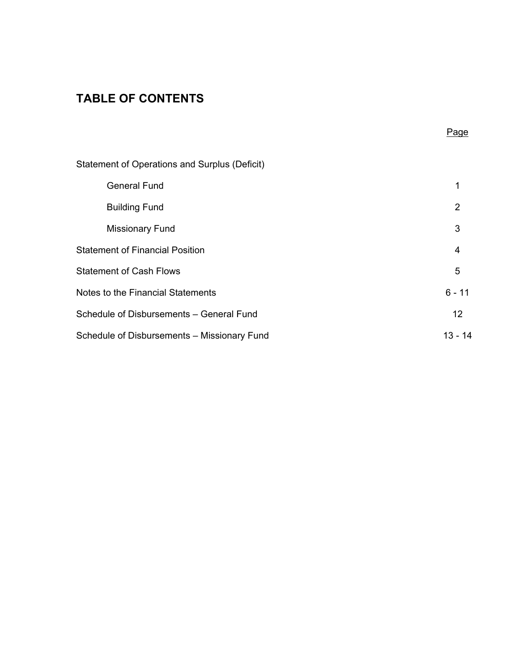## **TABLE OF CONTENTS**

|                                               | Page           |
|-----------------------------------------------|----------------|
| Statement of Operations and Surplus (Deficit) |                |
| <b>General Fund</b>                           | 1              |
| <b>Building Fund</b>                          | $\overline{2}$ |
| <b>Missionary Fund</b>                        | 3              |
| <b>Statement of Financial Position</b>        | 4              |
| <b>Statement of Cash Flows</b>                | 5              |
| Notes to the Financial Statements             | $6 - 11$       |
| Schedule of Disbursements - General Fund      | 12             |
| Schedule of Disbursements - Missionary Fund   | $13 - 14$      |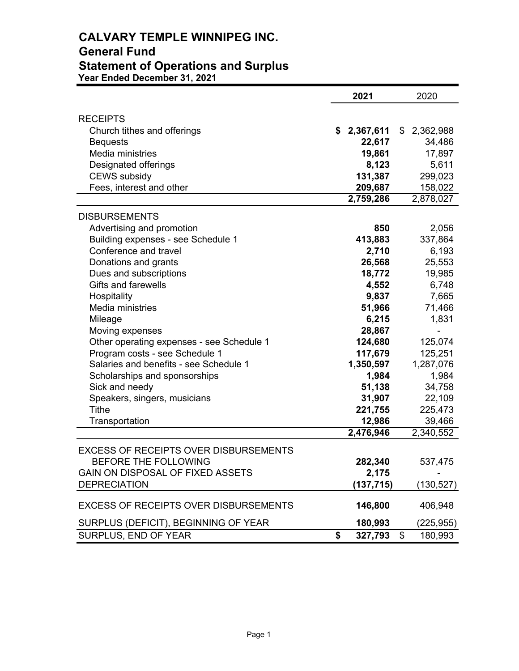## **CALVARY TEMPLE WINNIPEG INC. General Fund Statement of Operations and Surplus Year Ended December 31, 2021**

|                                              | 2021            | 2020            |
|----------------------------------------------|-----------------|-----------------|
|                                              |                 |                 |
| <b>RECEIPTS</b>                              |                 |                 |
| Church tithes and offerings                  | \$2,367,611     | \$<br>2,362,988 |
| <b>Bequests</b><br>Media ministries          | 22,617          | 34,486          |
|                                              | 19,861<br>8,123 | 17,897<br>5,611 |
| Designated offerings<br><b>CEWS</b> subsidy  | 131,387         | 299,023         |
| Fees, interest and other                     | 209,687         | 158,022         |
|                                              | 2,759,286       | 2,878,027       |
|                                              |                 |                 |
| <b>DISBURSEMENTS</b>                         |                 |                 |
| Advertising and promotion                    | 850             | 2,056           |
| Building expenses - see Schedule 1           | 413,883         | 337,864         |
| Conference and travel                        | 2,710           | 6,193           |
| Donations and grants                         | 26,568          | 25,553          |
| Dues and subscriptions                       | 18,772          | 19,985          |
| <b>Gifts and farewells</b>                   | 4,552           | 6,748           |
| Hospitality                                  | 9,837           | 7,665           |
| Media ministries                             | 51,966          | 71,466          |
| Mileage                                      | 6,215           | 1,831           |
| Moving expenses                              | 28,867          |                 |
| Other operating expenses - see Schedule 1    | 124,680         | 125,074         |
| Program costs - see Schedule 1               | 117,679         | 125,251         |
| Salaries and benefits - see Schedule 1       | 1,350,597       | 1,287,076       |
| Scholarships and sponsorships                | 1,984           | 1,984           |
| Sick and needy                               | 51,138          | 34,758          |
| Speakers, singers, musicians                 | 31,907          | 22,109          |
| Tithe                                        | 221,755         | 225,473         |
| Transportation                               | 12,986          | 39,466          |
|                                              | 2,476,946       | 2,340,552       |
| <b>EXCESS OF RECEIPTS OVER DISBURSEMENTS</b> |                 |                 |
| BEFORE THE FOLLOWING                         | 282,340         | 537,475         |
| GAIN ON DISPOSAL OF FIXED ASSETS             | 2,175           |                 |
| <b>DEPRECIATION</b>                          | (137, 715)      | (130, 527)      |
|                                              |                 |                 |
| <b>EXCESS OF RECEIPTS OVER DISBURSEMENTS</b> | 146,800         | 406,948         |
| SURPLUS (DEFICIT), BEGINNING OF YEAR         | 180,993         | (225,955)       |
| SURPLUS, END OF YEAR                         | \$<br>327,793   | \$<br>180,993   |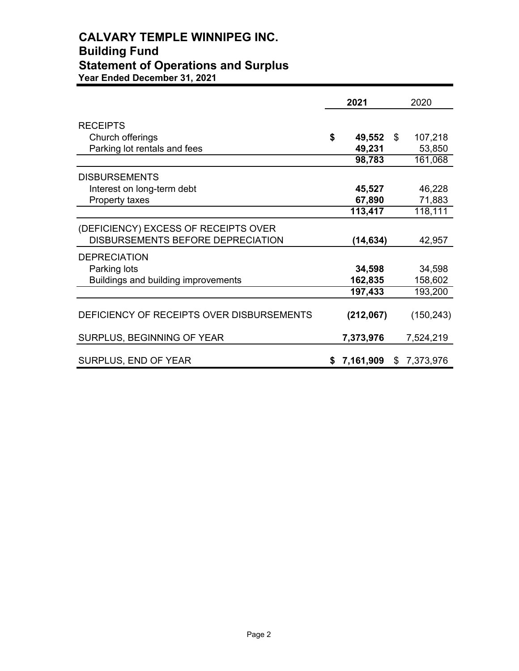## **CALVARY TEMPLE WINNIPEG INC. Building Fund Statement of Operations and Surplus Year Ended December 31, 2021**

|                                           | 2021         | 2020            |
|-------------------------------------------|--------------|-----------------|
| <b>RECEIPTS</b>                           |              |                 |
| Church offerings                          | \$<br>49,552 | \$<br>107,218   |
| Parking lot rentals and fees              | 49,231       | 53,850          |
|                                           | 98,783       | 161,068         |
| <b>DISBURSEMENTS</b>                      |              |                 |
| Interest on long-term debt                | 45,527       | 46,228          |
| Property taxes                            | 67,890       | 71,883          |
|                                           | 113,417      | 118,111         |
| (DEFICIENCY) EXCESS OF RECEIPTS OVER      |              |                 |
| DISBURSEMENTS BEFORE DEPRECIATION         | (14, 634)    | 42,957          |
| <b>DEPRECIATION</b>                       |              |                 |
| Parking lots                              | 34,598       | 34,598          |
| Buildings and building improvements       | 162,835      | 158,602         |
|                                           | 197,433      | 193,200         |
| DEFICIENCY OF RECEIPTS OVER DISBURSEMENTS | (212,067)    | (150, 243)      |
| <b>SURPLUS, BEGINNING OF YEAR</b>         | 7,373,976    | 7,524,219       |
| SURPLUS, END OF YEAR                      | \$7,161,909  | \$<br>7,373,976 |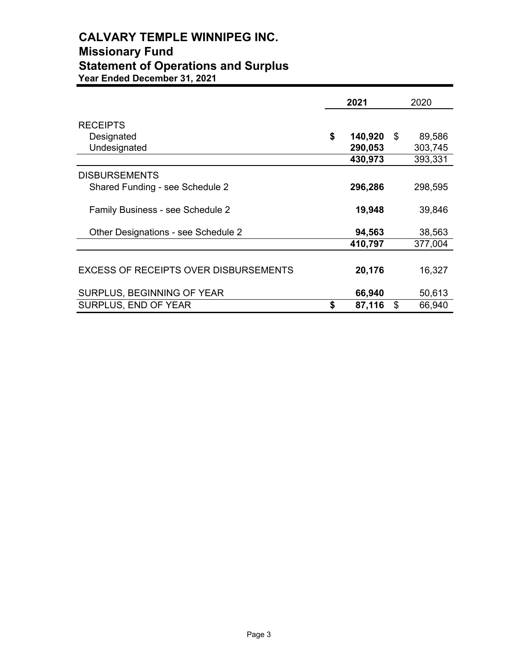## **CALVARY TEMPLE WINNIPEG INC. Missionary Fund Statement of Operations and Surplus Year Ended December 31, 2021**

|                                              | 2021          | 2020         |
|----------------------------------------------|---------------|--------------|
| <b>RECEIPTS</b>                              |               |              |
| Designated                                   | \$<br>140,920 | \$<br>89,586 |
| Undesignated                                 | 290,053       | 303,745      |
|                                              | 430,973       | 393,331      |
| <b>DISBURSEMENTS</b>                         |               |              |
| Shared Funding - see Schedule 2              | 296,286       | 298,595      |
| Family Business - see Schedule 2             | 19,948        | 39,846       |
| Other Designations - see Schedule 2          | 94,563        | 38,563       |
|                                              | 410,797       | 377,004      |
| <b>EXCESS OF RECEIPTS OVER DISBURSEMENTS</b> | 20,176        | 16,327       |
| SURPLUS, BEGINNING OF YEAR                   | 66,940        | 50,613       |
| <b>SURPLUS, END OF YEAR</b>                  | \$<br>87,116  | \$<br>66,940 |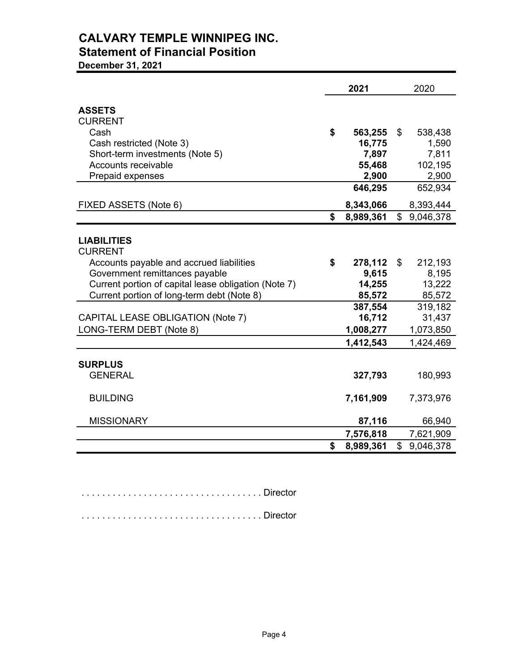## **CALVARY TEMPLE WINNIPEG INC. Statement of Financial Position**

**December 31, 2021**

|                                                      | 2021            | 2020            |
|------------------------------------------------------|-----------------|-----------------|
| <b>ASSETS</b>                                        |                 |                 |
| <b>CURRENT</b>                                       |                 |                 |
| Cash                                                 | \$<br>563,255   | \$<br>538,438   |
| Cash restricted (Note 3)                             | 16,775          | 1,590           |
| Short-term investments (Note 5)                      | 7,897           | 7,811           |
| Accounts receivable                                  | 55,468          | 102,195         |
| Prepaid expenses                                     | 2,900           | 2,900           |
|                                                      | 646,295         | 652,934         |
| FIXED ASSETS (Note 6)                                | 8,343,066       | 8,393,444       |
|                                                      | \$<br>8,989,361 | \$9,046,378     |
|                                                      |                 |                 |
| <b>LIABILITIES</b>                                   |                 |                 |
| <b>CURRENT</b>                                       |                 |                 |
| Accounts payable and accrued liabilities             | \$<br>278,112   | \$<br>212,193   |
| Government remittances payable                       | 9,615           | 8,195           |
| Current portion of capital lease obligation (Note 7) | 14,255          | 13,222          |
| Current portion of long-term debt (Note 8)           | 85,572          | 85,572          |
|                                                      | 387,554         | 319,182         |
| CAPITAL LEASE OBLIGATION (Note 7)                    | 16,712          | 31,437          |
| LONG-TERM DEBT (Note 8)                              | 1,008,277       | 1,073,850       |
|                                                      | 1,412,543       | 1,424,469       |
|                                                      |                 |                 |
| <b>SURPLUS</b>                                       |                 |                 |
| <b>GENERAL</b>                                       | 327,793         | 180,993         |
|                                                      |                 |                 |
| <b>BUILDING</b>                                      | 7,161,909       | 7,373,976       |
| <b>MISSIONARY</b>                                    | 87,116          | 66,940          |
|                                                      | 7,576,818       | 7,621,909       |
|                                                      | \$<br>8,989,361 | \$<br>9,046,378 |

. . . . . . . . . . . . . . . . . . . . . . . . . . . . . . . . . . . Director

. . . . . . . . . . . . . . . . . . . . . . . . . . . . . . . . . . . Director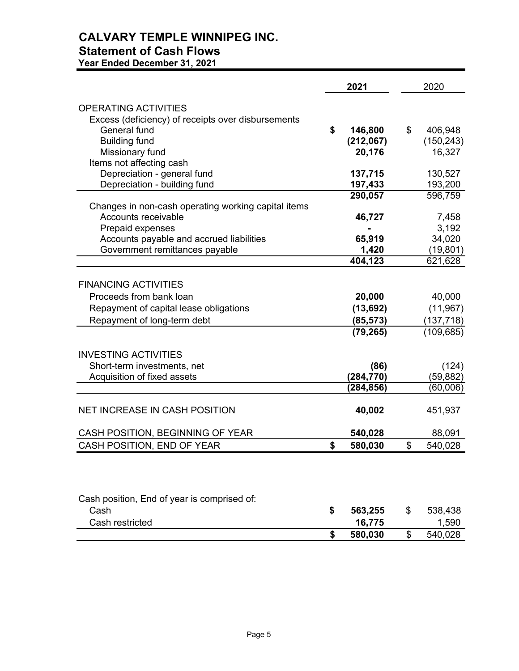## **CALVARY TEMPLE WINNIPEG INC. Statement of Cash Flows**

**Year Ended December 31, 2021**

|                                                                                   | 2021          | 2020 |            |  |
|-----------------------------------------------------------------------------------|---------------|------|------------|--|
| <b>OPERATING ACTIVITIES</b><br>Excess (deficiency) of receipts over disbursements |               |      |            |  |
| <b>General fund</b>                                                               | \$<br>146,800 | \$   | 406,948    |  |
| <b>Building fund</b>                                                              | (212,067)     |      | (150, 243) |  |
| Missionary fund                                                                   | 20,176        |      | 16,327     |  |
| Items not affecting cash                                                          |               |      |            |  |
| Depreciation - general fund                                                       | 137,715       |      | 130,527    |  |
| Depreciation - building fund                                                      | 197,433       |      | 193,200    |  |
|                                                                                   | 290,057       |      | 596,759    |  |
| Changes in non-cash operating working capital items<br><b>Accounts receivable</b> | 46,727        |      | 7,458      |  |
| Prepaid expenses                                                                  |               |      | 3,192      |  |
| Accounts payable and accrued liabilities                                          | 65,919        |      | 34,020     |  |
| Government remittances payable                                                    | 1,420         |      | (19, 801)  |  |
|                                                                                   | 404,123       |      | 621,628    |  |
|                                                                                   |               |      |            |  |
| <b>FINANCING ACTIVITIES</b>                                                       |               |      |            |  |
| Proceeds from bank loan                                                           | 20,000        |      | 40,000     |  |
| Repayment of capital lease obligations                                            | (13, 692)     |      | (11, 967)  |  |
| Repayment of long-term debt                                                       | (85, 573)     |      | (137, 718) |  |
|                                                                                   | (79, 265)     |      | (109, 685) |  |
|                                                                                   |               |      |            |  |
| <b>INVESTING ACTIVITIES</b>                                                       |               |      |            |  |
| Short-term investments, net                                                       | (86)          |      | (124)      |  |
| Acquisition of fixed assets                                                       | (284,770)     |      | (59, 882)  |  |
|                                                                                   | (284,856)     |      | (60,006)   |  |
|                                                                                   |               |      |            |  |
| <b>NET INCREASE IN CASH POSITION</b>                                              | 40,002        |      | 451,937    |  |
|                                                                                   |               |      |            |  |
| CASH POSITION, BEGINNING OF YEAR                                                  | 540,028       |      | 88,091     |  |
| CASH POSITION, END OF YEAR                                                        | \$<br>580,030 | \$   | 540,028    |  |
|                                                                                   |               |      |            |  |
|                                                                                   |               |      |            |  |
|                                                                                   |               |      |            |  |
|                                                                                   |               |      |            |  |
| Cash position, End of year is comprised of:                                       |               |      |            |  |
| Cash                                                                              | \$<br>563,255 | \$   | 538,438    |  |
| Cash restricted                                                                   | 16,775        |      | 1,590      |  |
|                                                                                   | \$<br>580,030 | \$   | 540,028    |  |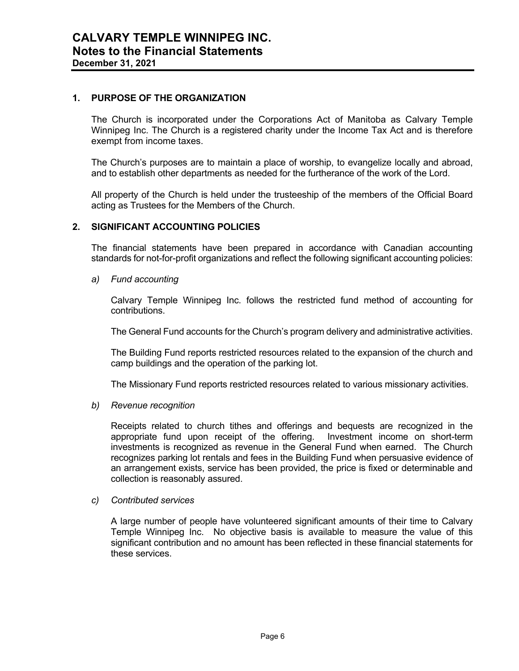#### **1. PURPOSE OF THE ORGANIZATION**

The Church is incorporated under the Corporations Act of Manitoba as Calvary Temple Winnipeg Inc. The Church is a registered charity under the Income Tax Act and is therefore exempt from income taxes.

The Church's purposes are to maintain a place of worship, to evangelize locally and abroad, and to establish other departments as needed for the furtherance of the work of the Lord.

All property of the Church is held under the trusteeship of the members of the Official Board acting as Trustees for the Members of the Church.

#### **2. SIGNIFICANT ACCOUNTING POLICIES**

The financial statements have been prepared in accordance with Canadian accounting standards for not-for-profit organizations and reflect the following significant accounting policies:

*a) Fund accounting* 

Calvary Temple Winnipeg Inc. follows the restricted fund method of accounting for contributions.

The General Fund accounts for the Church's program delivery and administrative activities.

The Building Fund reports restricted resources related to the expansion of the church and camp buildings and the operation of the parking lot.

The Missionary Fund reports restricted resources related to various missionary activities.

*b) Revenue recognition* 

Receipts related to church tithes and offerings and bequests are recognized in the appropriate fund upon receipt of the offering. Investment income on short-term investments is recognized as revenue in the General Fund when earned. The Church recognizes parking lot rentals and fees in the Building Fund when persuasive evidence of an arrangement exists, service has been provided, the price is fixed or determinable and collection is reasonably assured.

#### *c) Contributed services*

A large number of people have volunteered significant amounts of their time to Calvary Temple Winnipeg Inc. No objective basis is available to measure the value of this significant contribution and no amount has been reflected in these financial statements for these services.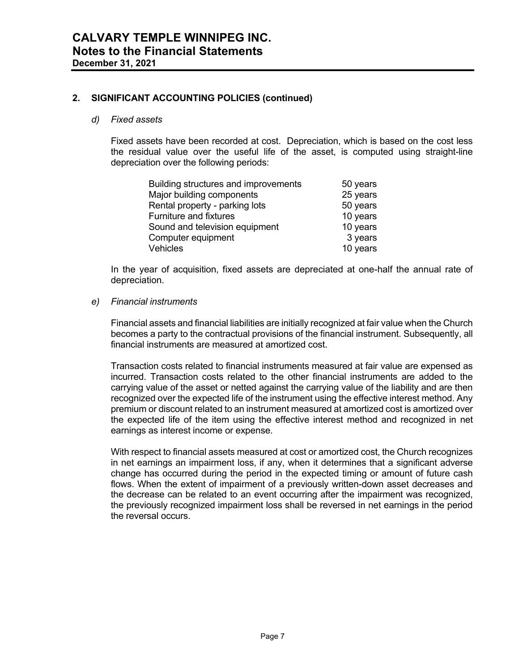#### **2. SIGNIFICANT ACCOUNTING POLICIES (continued)**

#### *d) Fixed assets*

Fixed assets have been recorded at cost. Depreciation, which is based on the cost less the residual value over the useful life of the asset, is computed using straight-line depreciation over the following periods:

| Building structures and improvements | 50 years |
|--------------------------------------|----------|
| Major building components            | 25 years |
| Rental property - parking lots       | 50 years |
| Furniture and fixtures               | 10 years |
| Sound and television equipment       | 10 years |
| Computer equipment                   | 3 years  |
| Vehicles                             | 10 years |

In the year of acquisition, fixed assets are depreciated at one-half the annual rate of depreciation.

#### *e) Financial instruments*

Financial assets and financial liabilities are initially recognized at fair value when the Church becomes a party to the contractual provisions of the financial instrument. Subsequently, all financial instruments are measured at amortized cost.

Transaction costs related to financial instruments measured at fair value are expensed as incurred. Transaction costs related to the other financial instruments are added to the carrying value of the asset or netted against the carrying value of the liability and are then recognized over the expected life of the instrument using the effective interest method. Any premium or discount related to an instrument measured at amortized cost is amortized over the expected life of the item using the effective interest method and recognized in net earnings as interest income or expense.

With respect to financial assets measured at cost or amortized cost, the Church recognizes in net earnings an impairment loss, if any, when it determines that a significant adverse change has occurred during the period in the expected timing or amount of future cash flows. When the extent of impairment of a previously written-down asset decreases and the decrease can be related to an event occurring after the impairment was recognized, the previously recognized impairment loss shall be reversed in net earnings in the period the reversal occurs.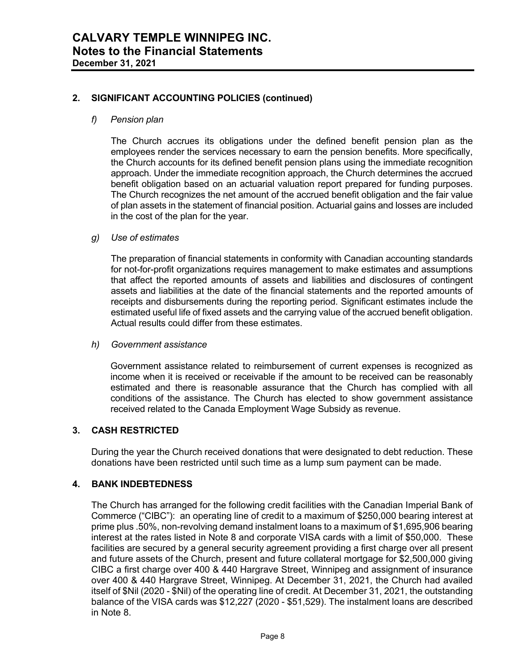#### **2. SIGNIFICANT ACCOUNTING POLICIES (continued)**

#### *f) Pension plan*

The Church accrues its obligations under the defined benefit pension plan as the employees render the services necessary to earn the pension benefits. More specifically, the Church accounts for its defined benefit pension plans using the immediate recognition approach. Under the immediate recognition approach, the Church determines the accrued benefit obligation based on an actuarial valuation report prepared for funding purposes. The Church recognizes the net amount of the accrued benefit obligation and the fair value of plan assets in the statement of financial position. Actuarial gains and losses are included in the cost of the plan for the year.

#### *g) Use of estimates*

The preparation of financial statements in conformity with Canadian accounting standards for not-for-profit organizations requires management to make estimates and assumptions that affect the reported amounts of assets and liabilities and disclosures of contingent assets and liabilities at the date of the financial statements and the reported amounts of receipts and disbursements during the reporting period. Significant estimates include the estimated useful life of fixed assets and the carrying value of the accrued benefit obligation. Actual results could differ from these estimates.

#### *h) Government assistance*

Government assistance related to reimbursement of current expenses is recognized as income when it is received or receivable if the amount to be received can be reasonably estimated and there is reasonable assurance that the Church has complied with all conditions of the assistance. The Church has elected to show government assistance received related to the Canada Employment Wage Subsidy as revenue.

#### **3. CASH RESTRICTED**

During the year the Church received donations that were designated to debt reduction. These donations have been restricted until such time as a lump sum payment can be made.

#### **4. BANK INDEBTEDNESS**

The Church has arranged for the following credit facilities with the Canadian Imperial Bank of Commerce ("CIBC"): an operating line of credit to a maximum of \$250,000 bearing interest at prime plus .50%, non-revolving demand instalment loans to a maximum of \$1,695,906 bearing interest at the rates listed in Note 8 and corporate VISA cards with a limit of \$50,000. These facilities are secured by a general security agreement providing a first charge over all present and future assets of the Church, present and future collateral mortgage for \$2,500,000 giving CIBC a first charge over 400 & 440 Hargrave Street, Winnipeg and assignment of insurance over 400 & 440 Hargrave Street, Winnipeg. At December 31, 2021, the Church had availed itself of \$Nil (2020 - \$Nil) of the operating line of credit. At December 31, 2021, the outstanding balance of the VISA cards was \$12,227 (2020 - \$51,529). The instalment loans are described in Note 8.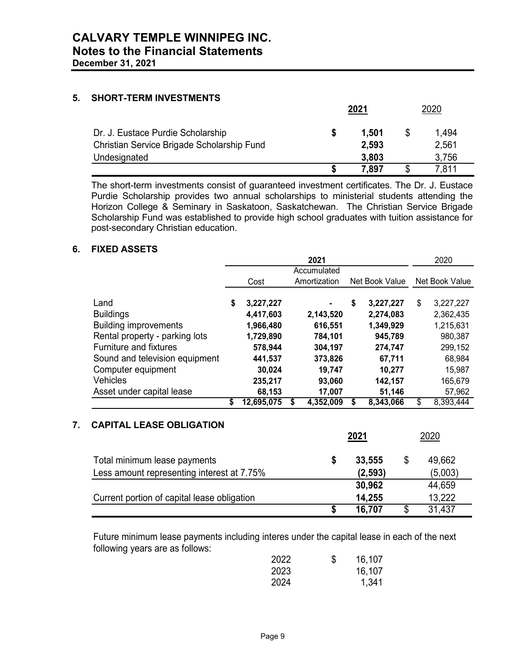#### **5. SHORT-TERM INVESTMENTS**

|                                            | <u> 2021</u> |       |   | 2020  |
|--------------------------------------------|--------------|-------|---|-------|
| Dr. J. Eustace Purdie Scholarship          |              | 1.501 | S | 1,494 |
| Christian Service Brigade Scholarship Fund |              | 2,593 |   | 2,561 |
| Undesignated                               |              | 3,803 |   | 3,756 |
|                                            |              | 7,897 | S | 7.811 |

The short-term investments consist of guaranteed investment certificates. The Dr. J. Eustace Purdie Scholarship provides two annual scholarships to ministerial students attending the Horizon College & Seminary in Saskatoon, Saskatchewan. The Christian Service Brigade Scholarship Fund was established to provide high school graduates with tuition assistance for post-secondary Christian education.

#### **6. FIXED ASSETS**

|                                | 2021 |            |  |              |    | 2020           |                 |
|--------------------------------|------|------------|--|--------------|----|----------------|-----------------|
|                                |      |            |  | Accumulated  |    |                |                 |
|                                |      | Cost       |  | Amortization |    | Net Book Value | Net Book Value  |
|                                |      |            |  |              |    |                |                 |
| Land                           | \$   | 3,227,227  |  |              | \$ | 3,227,227      | \$<br>3,227,227 |
| <b>Buildings</b>               |      | 4,417,603  |  | 2,143,520    |    | 2,274,083      | 2,362,435       |
| <b>Building improvements</b>   |      | 1,966,480  |  | 616,551      |    | 1,349,929      | 1,215,631       |
| Rental property - parking lots |      | 1,729,890  |  | 784,101      |    | 945,789        | 980,387         |
| <b>Furniture and fixtures</b>  |      | 578,944    |  | 304,197      |    | 274,747        | 299,152         |
| Sound and television equipment |      | 441,537    |  | 373,826      |    | 67,711         | 68,984          |
| Computer equipment             |      | 30,024     |  | 19,747       |    | 10,277         | 15,987          |
| Vehicles                       |      | 235,217    |  | 93,060       |    | 142,157        | 165,679         |
| Asset under capital lease      |      | 68,153     |  | 17,007       |    | 51,146         | 57,962          |
|                                |      | 12,695,075 |  | 4,352,009    |    | 8,343,066      | \$<br>8,393,444 |

#### **7. CAPITAL LEASE OBLIGATION**

|                                             | 2021 |          | 2020         |
|---------------------------------------------|------|----------|--------------|
| Total minimum lease payments                |      | 33,555   | \$<br>49,662 |
| Less amount representing interest at 7.75%  |      | (2, 593) | (5,003)      |
|                                             |      | 30,962   | 44,659       |
| Current portion of capital lease obligation |      | 14,255   | 13,222       |
|                                             |      | 16,707   | 31,437       |

Future minimum lease payments including interes under the capital lease in each of the next following years are as follows:

| 2022 | \$<br>16,107 |
|------|--------------|
| 2023 | 16,107       |
| 2024 | 1,341        |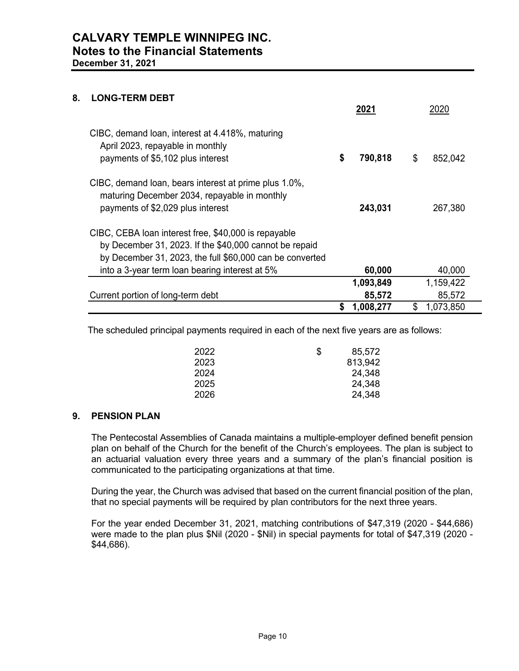#### **8. LONG-TERM DEBT**

|                                                                                                                                                                            |    | 2021      | 2020            |
|----------------------------------------------------------------------------------------------------------------------------------------------------------------------------|----|-----------|-----------------|
| CIBC, demand loan, interest at 4.418%, maturing<br>April 2023, repayable in monthly<br>payments of \$5,102 plus interest                                                   | \$ | 790,818   | \$<br>852,042   |
| CIBC, demand loan, bears interest at prime plus 1.0%,<br>maturing December 2034, repayable in monthly<br>payments of \$2,029 plus interest                                 |    | 243,031   | 267,380         |
| CIBC, CEBA loan interest free, \$40,000 is repayable<br>by December 31, 2023. If the \$40,000 cannot be repaid<br>by December 31, 2023, the full \$60,000 can be converted |    |           |                 |
| into a 3-year term loan bearing interest at 5%                                                                                                                             |    | 60,000    | 40,000          |
|                                                                                                                                                                            |    | 1,093,849 | 1,159,422       |
| Current portion of long-term debt                                                                                                                                          |    | 85,572    | 85,572          |
|                                                                                                                                                                            | S  | 1,008,277 | \$<br>1,073,850 |

The scheduled principal payments required in each of the next five years are as follows:

| 2022 | \$<br>85,572 |
|------|--------------|
| 2023 | 813,942      |
| 2024 | 24,348       |
| 2025 | 24,348       |
| 2026 | 24,348       |

#### **9. PENSION PLAN**

The Pentecostal Assemblies of Canada maintains a multiple-employer defined benefit pension plan on behalf of the Church for the benefit of the Church's employees. The plan is subject to an actuarial valuation every three years and a summary of the plan's financial position is communicated to the participating organizations at that time.

During the year, the Church was advised that based on the current financial position of the plan, that no special payments will be required by plan contributors for the next three years.

For the year ended December 31, 2021, matching contributions of \$47,319 (2020 - \$44,686) were made to the plan plus \$Nil (2020 - \$Nil) in special payments for total of \$47,319 (2020 - \$44,686).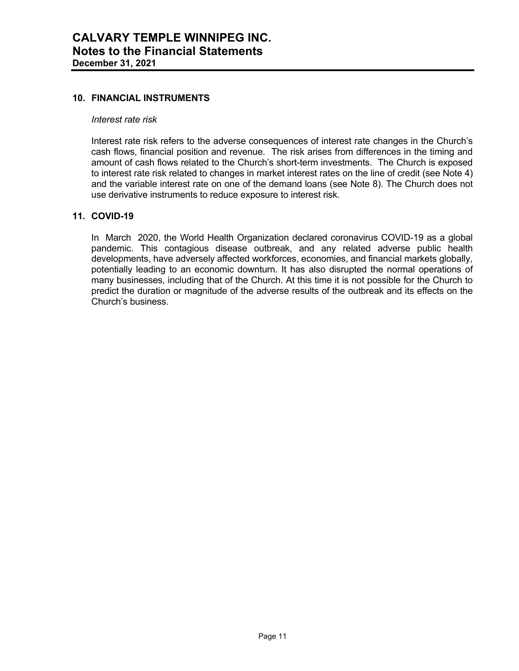#### **10. FINANCIAL INSTRUMENTS**

#### *Interest rate risk*

Interest rate risk refers to the adverse consequences of interest rate changes in the Church's cash flows, financial position and revenue. The risk arises from differences in the timing and amount of cash flows related to the Church's short-term investments. The Church is exposed to interest rate risk related to changes in market interest rates on the line of credit (see Note 4) and the variable interest rate on one of the demand loans (see Note 8). The Church does not use derivative instruments to reduce exposure to interest risk.

#### **11. COVID-19**

In March 2020, the World Health Organization declared coronavirus COVID-19 as a global pandemic. This contagious disease outbreak, and any related adverse public health developments, have adversely affected workforces, economies, and financial markets globally, potentially leading to an economic downturn. It has also disrupted the normal operations of many businesses, including that of the Church. At this time it is not possible for the Church to predict the duration or magnitude of the adverse results of the outbreak and its effects on the Church's business.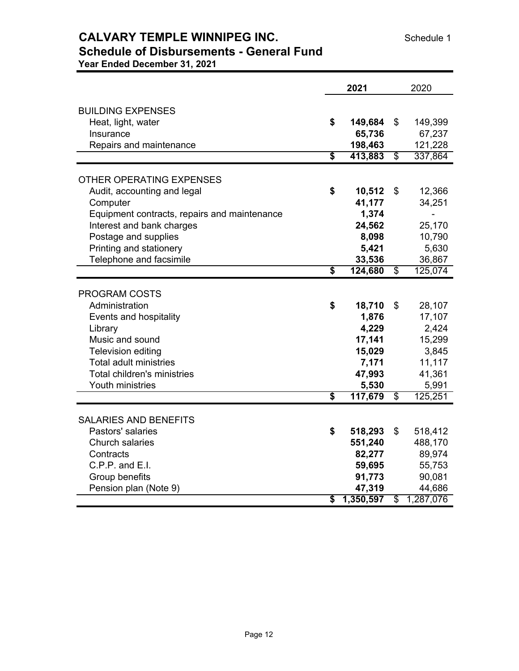## **CALVARY TEMPLE WINNIPEG INC.** Schedule 1

### **Schedule of Disbursements - General Fund Year Ended December 31, 2021**

|                                              | 2021                                 |           |                          | 2020      |  |
|----------------------------------------------|--------------------------------------|-----------|--------------------------|-----------|--|
|                                              |                                      |           |                          |           |  |
| <b>BUILDING EXPENSES</b>                     |                                      |           |                          |           |  |
| Heat, light, water                           | \$                                   | 149,684   | \$                       | 149,399   |  |
| Insurance                                    |                                      | 65,736    |                          | 67,237    |  |
| Repairs and maintenance                      |                                      | 198,463   |                          | 121,228   |  |
|                                              | $\overline{\mathbf{s}}$              | 413,883   | $\overline{\mathcal{S}}$ | 337,864   |  |
| OTHER OPERATING EXPENSES                     |                                      |           |                          |           |  |
| Audit, accounting and legal                  | \$                                   | 10,512    | \$                       | 12,366    |  |
| Computer                                     |                                      | 41,177    |                          | 34,251    |  |
| Equipment contracts, repairs and maintenance |                                      | 1,374     |                          |           |  |
| Interest and bank charges                    |                                      | 24,562    |                          | 25,170    |  |
| Postage and supplies                         |                                      | 8,098     |                          | 10,790    |  |
| Printing and stationery                      |                                      | 5,421     |                          | 5,630     |  |
| Telephone and facsimile                      |                                      | 33,536    |                          | 36,867    |  |
|                                              | $\overline{\boldsymbol{s}}$          | 124,680   | \$                       | 125,074   |  |
|                                              |                                      |           |                          |           |  |
| <b>PROGRAM COSTS</b>                         |                                      |           |                          |           |  |
| Administration                               | \$                                   | 18,710    | \$                       | 28,107    |  |
| Events and hospitality                       |                                      | 1,876     |                          | 17,107    |  |
| Library                                      |                                      | 4,229     |                          | 2,424     |  |
| Music and sound                              |                                      | 17,141    |                          | 15,299    |  |
| <b>Television editing</b>                    |                                      | 15,029    |                          | 3,845     |  |
| <b>Total adult ministries</b>                |                                      | 7,171     |                          | 11,117    |  |
| Total children's ministries                  |                                      | 47,993    |                          | 41,361    |  |
| Youth ministries                             |                                      | 5,530     |                          | 5,991     |  |
|                                              | $\overline{\mathbf{s}}$              | 117,679   | \$                       | 125,251   |  |
|                                              |                                      |           |                          |           |  |
| <b>SALARIES AND BENEFITS</b>                 |                                      |           |                          |           |  |
| Pastors' salaries                            | \$                                   | 518,293   | \$                       | 518,412   |  |
| <b>Church salaries</b>                       |                                      | 551,240   |                          | 488,170   |  |
| Contracts                                    |                                      | 82,277    |                          | 89,974    |  |
| C.P.P. and E.I.                              |                                      | 59,695    |                          | 55,753    |  |
| Group benefits                               |                                      | 91,773    |                          | 90,081    |  |
| Pension plan (Note 9)                        |                                      | 47,319    |                          | 44,686    |  |
|                                              | $\overline{\boldsymbol{\mathsf{s}}}$ | 1,350,597 | \$                       | 1,287,076 |  |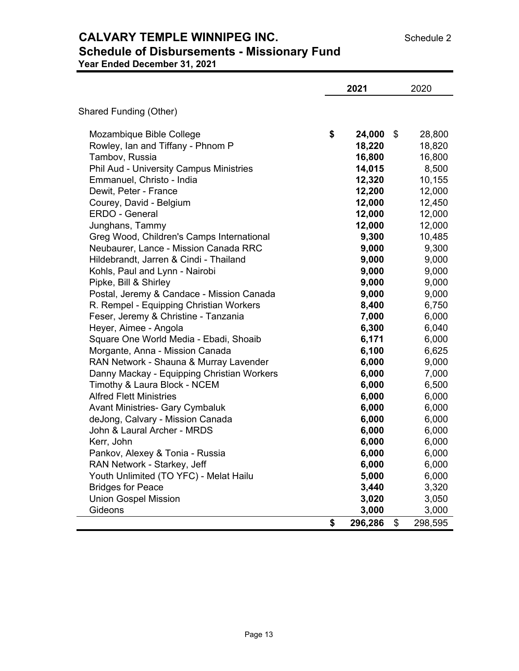## **CALVARY TEMPLE WINNIPEG INC.** Schedule 2 **Schedule of Disbursements - Missionary Fund**

**Year Ended December 31, 2021**

|                                                | 2021          | 2020          |
|------------------------------------------------|---------------|---------------|
| Shared Funding (Other)                         |               |               |
| Mozambique Bible College                       | \$<br>24,000  | \$<br>28,800  |
| Rowley, Ian and Tiffany - Phnom P              | 18,220        | 18,820        |
| Tambov, Russia                                 | 16,800        | 16,800        |
| <b>Phil Aud - University Campus Ministries</b> | 14,015        | 8,500         |
| Emmanuel, Christo - India                      | 12,320        | 10,155        |
| Dewit, Peter - France                          | 12,200        | 12,000        |
| Courey, David - Belgium                        | 12,000        | 12,450        |
| ERDO - General                                 | 12,000        | 12,000        |
| Junghans, Tammy                                | 12,000        | 12,000        |
| Greg Wood, Children's Camps International      | 9,300         | 10,485        |
| Neubaurer, Lance - Mission Canada RRC          | 9,000         | 9,300         |
| Hildebrandt, Jarren & Cindi - Thailand         | 9,000         | 9,000         |
| Kohls, Paul and Lynn - Nairobi                 | 9,000         | 9,000         |
| Pipke, Bill & Shirley                          | 9,000         | 9,000         |
| Postal, Jeremy & Candace - Mission Canada      | 9,000         | 9,000         |
| R. Rempel - Equipping Christian Workers        | 8,400         | 6,750         |
| Feser, Jeremy & Christine - Tanzania           | 7,000         | 6,000         |
| Heyer, Aimee - Angola                          | 6,300         | 6,040         |
| Square One World Media - Ebadi, Shoaib         | 6,171         | 6,000         |
| Morgante, Anna - Mission Canada                | 6,100         | 6,625         |
| RAN Network - Shauna & Murray Lavender         | 6,000         | 9,000         |
| Danny Mackay - Equipping Christian Workers     | 6,000         | 7,000         |
| Timothy & Laura Block - NCEM                   | 6,000         | 6,500         |
| <b>Alfred Flett Ministries</b>                 | 6,000         | 6,000         |
| <b>Avant Ministries- Gary Cymbaluk</b>         | 6,000         | 6,000         |
| deJong, Calvary - Mission Canada               | 6,000         | 6,000         |
| John & Laural Archer - MRDS                    | 6,000         | 6,000         |
| Kerr, John                                     | 6,000         | 6,000         |
| Pankov, Alexey & Tonia - Russia                | 6,000         | 6,000         |
| RAN Network - Starkey, Jeff                    | 6,000         | 6,000         |
| Youth Unlimited (TO YFC) - Melat Hailu         | 5,000         | 6,000         |
| <b>Bridges for Peace</b>                       | 3,440         | 3,320         |
| <b>Union Gospel Mission</b>                    | 3,020         | 3,050         |
| Gideons                                        | 3,000         | 3,000         |
|                                                | \$<br>296,286 | \$<br>298,595 |